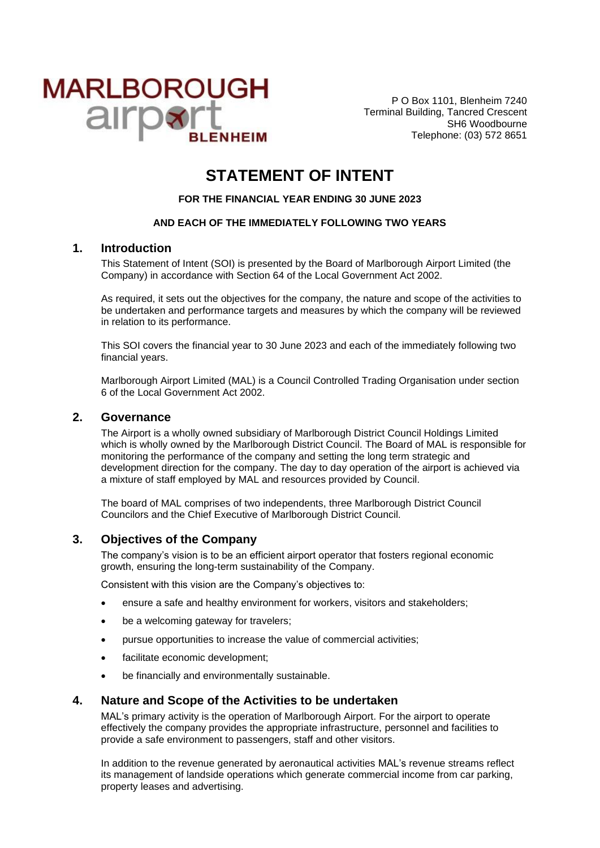

P O Box 1101, Blenheim 7240 Terminal Building, Tancred Crescent SH6 Woodbourne Telephone: (03) 572 8651

# **STATEMENT OF INTENT**

**FOR THE FINANCIAL YEAR ENDING 30 JUNE 2023**

#### **AND EACH OF THE IMMEDIATELY FOLLOWING TWO YEARS**

### **1. Introduction**

This Statement of Intent (SOI) is presented by the Board of Marlborough Airport Limited (the Company) in accordance with Section 64 of the Local Government Act 2002.

As required, it sets out the objectives for the company, the nature and scope of the activities to be undertaken and performance targets and measures by which the company will be reviewed in relation to its performance.

This SOI covers the financial year to 30 June 2023 and each of the immediately following two financial years.

Marlborough Airport Limited (MAL) is a Council Controlled Trading Organisation under section 6 of the Local Government Act 2002.

#### **2. Governance**

The Airport is a wholly owned subsidiary of Marlborough District Council Holdings Limited which is wholly owned by the Marlborough District Council. The Board of MAL is responsible for monitoring the performance of the company and setting the long term strategic and development direction for the company. The day to day operation of the airport is achieved via a mixture of staff employed by MAL and resources provided by Council.

The board of MAL comprises of two independents, three Marlborough District Council Councilors and the Chief Executive of Marlborough District Council.

#### **3. Objectives of the Company**

The company's vision is to be an efficient airport operator that fosters regional economic growth, ensuring the long-term sustainability of the Company.

Consistent with this vision are the Company's objectives to:

- ensure a safe and healthy environment for workers, visitors and stakeholders;
- be a welcoming gateway for travelers;
- pursue opportunities to increase the value of commercial activities;
- facilitate economic development;
- be financially and environmentally sustainable.

#### **4. Nature and Scope of the Activities to be undertaken**

MAL's primary activity is the operation of Marlborough Airport. For the airport to operate effectively the company provides the appropriate infrastructure, personnel and facilities to provide a safe environment to passengers, staff and other visitors.

In addition to the revenue generated by aeronautical activities MAL's revenue streams reflect its management of landside operations which generate commercial income from car parking, property leases and advertising.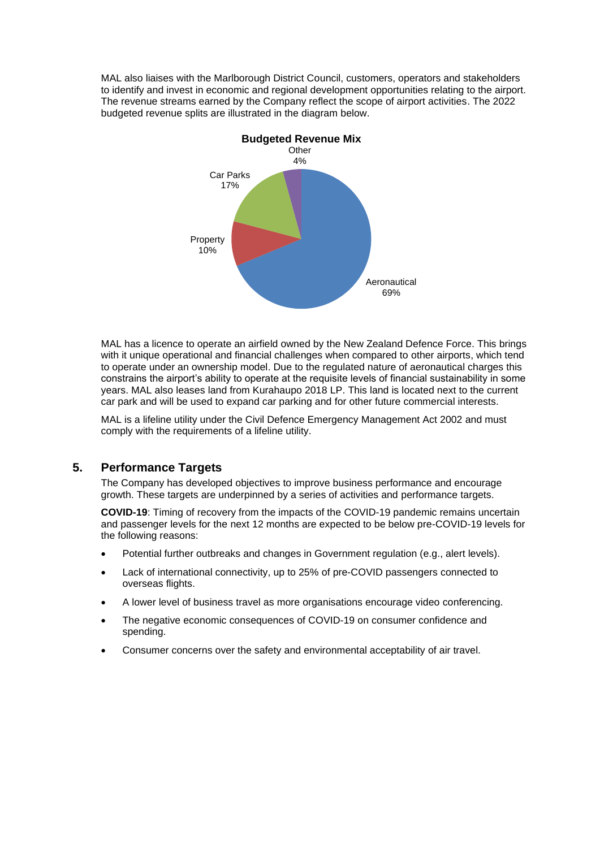MAL also liaises with the Marlborough District Council, customers, operators and stakeholders to identify and invest in economic and regional development opportunities relating to the airport. The revenue streams earned by the Company reflect the scope of airport activities. The 2022 budgeted revenue splits are illustrated in the diagram below.



MAL has a licence to operate an airfield owned by the New Zealand Defence Force. This brings with it unique operational and financial challenges when compared to other airports, which tend to operate under an ownership model. Due to the regulated nature of aeronautical charges this constrains the airport's ability to operate at the requisite levels of financial sustainability in some years. MAL also leases land from Kurahaupo 2018 LP. This land is located next to the current car park and will be used to expand car parking and for other future commercial interests.

MAL is a lifeline utility under the Civil Defence Emergency Management Act 2002 and must comply with the requirements of a lifeline utility.

### **5. Performance Targets**

The Company has developed objectives to improve business performance and encourage growth. These targets are underpinned by a series of activities and performance targets.

**COVID-19**: Timing of recovery from the impacts of the COVID-19 pandemic remains uncertain and passenger levels for the next 12 months are expected to be below pre-COVID-19 levels for the following reasons:

- Potential further outbreaks and changes in Government regulation (e.g., alert levels).
- Lack of international connectivity, up to 25% of pre-COVID passengers connected to overseas flights.
- A lower level of business travel as more organisations encourage video conferencing.
- The negative economic consequences of COVID-19 on consumer confidence and spending.
- Consumer concerns over the safety and environmental acceptability of air travel.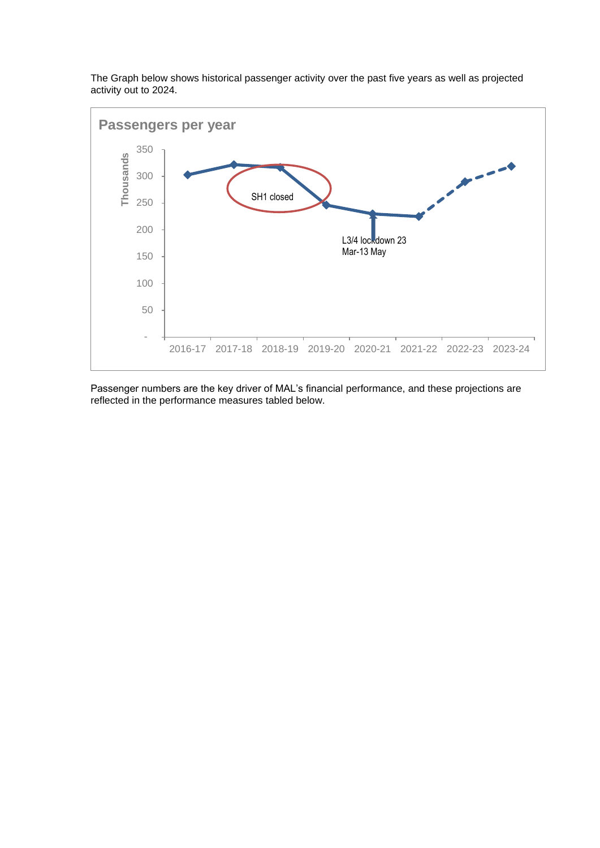

The Graph below shows historical passenger activity over the past five years as well as projected activity out to 2024.

Passenger numbers are the key driver of MAL's financial performance, and these projections are reflected in the performance measures tabled below.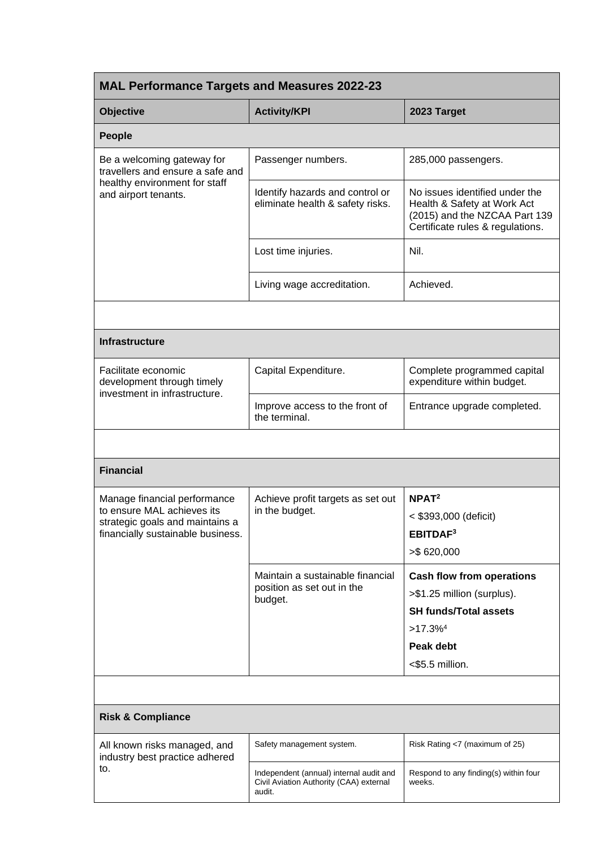| <b>MAL Performance Targets and Measures 2022-23</b>                                          |                                                                                                                                                          |  |  |  |
|----------------------------------------------------------------------------------------------|----------------------------------------------------------------------------------------------------------------------------------------------------------|--|--|--|
| <b>Activity/KPI</b>                                                                          | 2023 Target                                                                                                                                              |  |  |  |
|                                                                                              |                                                                                                                                                          |  |  |  |
| Passenger numbers.                                                                           | 285,000 passengers.                                                                                                                                      |  |  |  |
| Identify hazards and control or<br>eliminate health & safety risks.                          | No issues identified under the<br>Health & Safety at Work Act<br>(2015) and the NZCAA Part 139<br>Certificate rules & regulations.                       |  |  |  |
| Lost time injuries.                                                                          | Nil.                                                                                                                                                     |  |  |  |
| Living wage accreditation.                                                                   | Achieved.                                                                                                                                                |  |  |  |
|                                                                                              |                                                                                                                                                          |  |  |  |
|                                                                                              |                                                                                                                                                          |  |  |  |
| Capital Expenditure.                                                                         | Complete programmed capital<br>expenditure within budget.                                                                                                |  |  |  |
| Improve access to the front of<br>the terminal.                                              | Entrance upgrade completed.                                                                                                                              |  |  |  |
|                                                                                              |                                                                                                                                                          |  |  |  |
|                                                                                              |                                                                                                                                                          |  |  |  |
| Achieve profit targets as set out<br>in the budget.                                          | NPAT <sup>2</sup><br>< \$393,000 (deficit)<br>EBITDAF <sup>3</sup><br>$>$ \$620,000                                                                      |  |  |  |
| Maintain a sustainable financial<br>position as set out in the<br>budget.                    | <b>Cash flow from operations</b><br>>\$1.25 million (surplus).<br><b>SH funds/Total assets</b><br>$>17.3\%$ <sup>4</sup><br>Peak debt<br><\$5.5 million. |  |  |  |
|                                                                                              |                                                                                                                                                          |  |  |  |
|                                                                                              |                                                                                                                                                          |  |  |  |
| Safety management system.                                                                    | Risk Rating <7 (maximum of 25)                                                                                                                           |  |  |  |
| Independent (annual) internal audit and<br>Civil Aviation Authority (CAA) external<br>audit. | Respond to any finding(s) within four<br>weeks.                                                                                                          |  |  |  |
|                                                                                              |                                                                                                                                                          |  |  |  |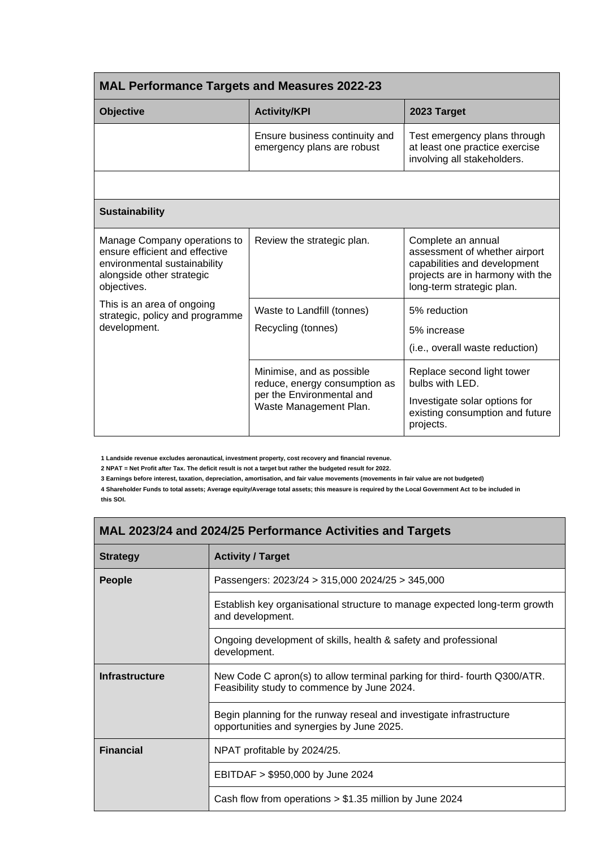| <b>MAL Performance Targets and Measures 2022-23</b>                                                                                                                                                                         |                                                                                                                   |                                                                                                                                                      |  |  |  |
|-----------------------------------------------------------------------------------------------------------------------------------------------------------------------------------------------------------------------------|-------------------------------------------------------------------------------------------------------------------|------------------------------------------------------------------------------------------------------------------------------------------------------|--|--|--|
| <b>Objective</b>                                                                                                                                                                                                            | <b>Activity/KPI</b>                                                                                               | 2023 Target                                                                                                                                          |  |  |  |
|                                                                                                                                                                                                                             | Ensure business continuity and<br>emergency plans are robust                                                      | Test emergency plans through<br>at least one practice exercise<br>involving all stakeholders.                                                        |  |  |  |
|                                                                                                                                                                                                                             |                                                                                                                   |                                                                                                                                                      |  |  |  |
| <b>Sustainability</b>                                                                                                                                                                                                       |                                                                                                                   |                                                                                                                                                      |  |  |  |
| Manage Company operations to<br>ensure efficient and effective<br>environmental sustainability<br>alongside other strategic<br>objectives.<br>This is an area of ongoing<br>strategic, policy and programme<br>development. | Review the strategic plan.                                                                                        | Complete an annual<br>assessment of whether airport<br>capabilities and development<br>projects are in harmony with the<br>long-term strategic plan. |  |  |  |
|                                                                                                                                                                                                                             | Waste to Landfill (tonnes)<br>Recycling (tonnes)                                                                  | 5% reduction<br>5% increase<br>(i.e., overall waste reduction)                                                                                       |  |  |  |
|                                                                                                                                                                                                                             | Minimise, and as possible<br>reduce, energy consumption as<br>per the Environmental and<br>Waste Management Plan. | Replace second light tower<br>bulbs with LED.<br>Investigate solar options for<br>existing consumption and future<br>projects.                       |  |  |  |

**1 Landside revenue excludes aeronautical, investment property, cost recovery and financial revenue.**

**2 NPAT = Net Profit after Tax. The deficit result is not a target but rather the budgeted result for 2022.**

**3 Earnings before interest, taxation, depreciation, amortisation, and fair value movements (movements in fair value are not budgeted)**

**4 Shareholder Funds to total assets; Average equity/Average total assets; this measure is required by the Local Government Act to be included in this SOI.**

| MAL 2023/24 and 2024/25 Performance Activities and Targets |                                                                                                                         |  |  |
|------------------------------------------------------------|-------------------------------------------------------------------------------------------------------------------------|--|--|
| <b>Strategy</b>                                            | <b>Activity / Target</b>                                                                                                |  |  |
| <b>People</b>                                              | Passengers: $2023/24 > 315,000 2024/25 > 345,000$                                                                       |  |  |
|                                                            | Establish key organisational structure to manage expected long-term growth<br>and development.                          |  |  |
|                                                            | Ongoing development of skills, health & safety and professional<br>development.                                         |  |  |
| <b>Infrastructure</b>                                      | New Code C apron(s) to allow terminal parking for third-fourth Q300/ATR.<br>Feasibility study to commence by June 2024. |  |  |
|                                                            | Begin planning for the runway reseal and investigate infrastructure<br>opportunities and synergies by June 2025.        |  |  |
| <b>Financial</b>                                           | NPAT profitable by 2024/25.                                                                                             |  |  |
|                                                            | EBITDAF > \$950,000 by June 2024                                                                                        |  |  |
|                                                            | Cash flow from operations $> $1.35$ million by June 2024                                                                |  |  |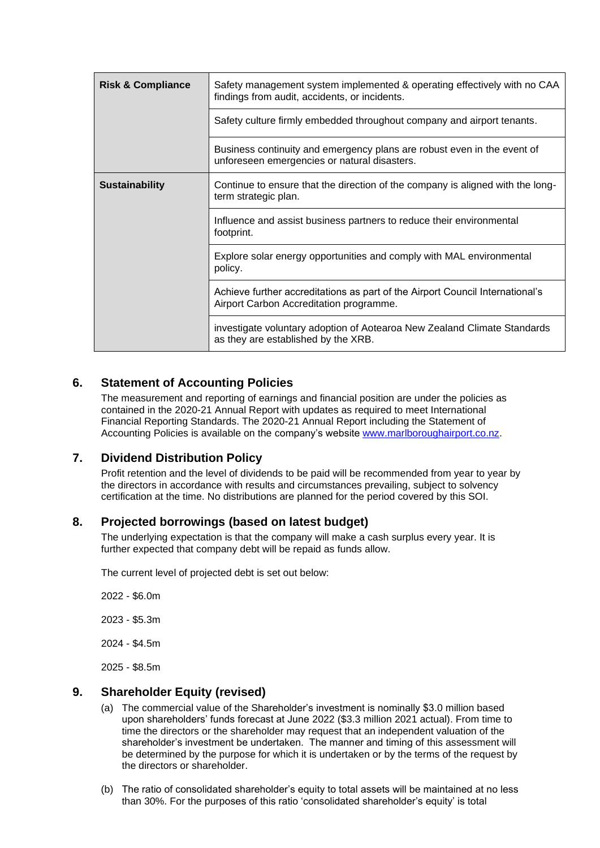| <b>Risk &amp; Compliance</b> | Safety management system implemented & operating effectively with no CAA<br>findings from audit, accidents, or incidents. |
|------------------------------|---------------------------------------------------------------------------------------------------------------------------|
|                              | Safety culture firmly embedded throughout company and airport tenants.                                                    |
|                              | Business continuity and emergency plans are robust even in the event of<br>unforeseen emergencies or natural disasters.   |
| <b>Sustainability</b>        | Continue to ensure that the direction of the company is aligned with the long-<br>term strategic plan.                    |
|                              | Influence and assist business partners to reduce their environmental<br>footprint.                                        |
|                              | Explore solar energy opportunities and comply with MAL environmental<br>policy.                                           |
|                              | Achieve further accreditations as part of the Airport Council International's<br>Airport Carbon Accreditation programme.  |
|                              | investigate voluntary adoption of Aotearoa New Zealand Climate Standards<br>as they are established by the XRB.           |

## **6. Statement of Accounting Policies**

The measurement and reporting of earnings and financial position are under the policies as contained in the 2020-21 Annual Report with updates as required to meet International Financial Reporting Standards. The 2020-21 Annual Report including the Statement of Accounting Policies is available on the company's website [www.marlboroughairport.co.nz.](http://www.marlboroughairport.co.nz/)

## **7. Dividend Distribution Policy**

Profit retention and the level of dividends to be paid will be recommended from year to year by the directors in accordance with results and circumstances prevailing, subject to solvency certification at the time. No distributions are planned for the period covered by this SOI.

### **8. Projected borrowings (based on latest budget)**

The underlying expectation is that the company will make a cash surplus every year. It is further expected that company debt will be repaid as funds allow.

The current level of projected debt is set out below:

2022 - \$6.0m

2023 - \$5.3m

2024 - \$4.5m

2025 - \$8.5m

## **9. Shareholder Equity (revised)**

- (a) The commercial value of the Shareholder's investment is nominally \$3.0 million based upon shareholders' funds forecast at June 2022 (\$3.3 million 2021 actual). From time to time the directors or the shareholder may request that an independent valuation of the shareholder's investment be undertaken. The manner and timing of this assessment will be determined by the purpose for which it is undertaken or by the terms of the request by the directors or shareholder.
- (b) The ratio of consolidated shareholder's equity to total assets will be maintained at no less than 30%. For the purposes of this ratio 'consolidated shareholder's equity' is total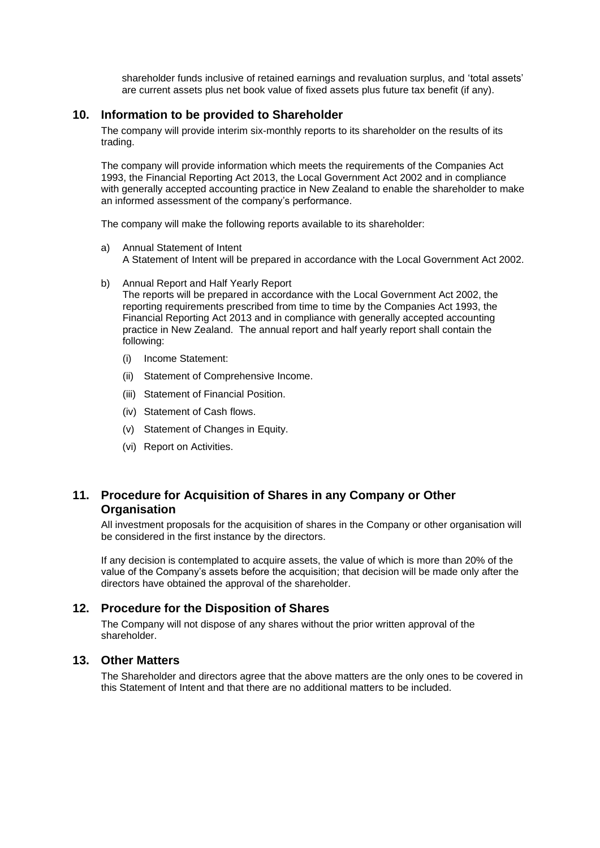shareholder funds inclusive of retained earnings and revaluation surplus, and 'total assets' are current assets plus net book value of fixed assets plus future tax benefit (if any).

#### **10. Information to be provided to Shareholder**

The company will provide interim six-monthly reports to its shareholder on the results of its trading.

The company will provide information which meets the requirements of the Companies Act 1993, the Financial Reporting Act 2013, the Local Government Act 2002 and in compliance with generally accepted accounting practice in New Zealand to enable the shareholder to make an informed assessment of the company's performance.

The company will make the following reports available to its shareholder:

- a) Annual Statement of Intent A Statement of Intent will be prepared in accordance with the Local Government Act 2002.
- b) Annual Report and Half Yearly Report The reports will be prepared in accordance with the Local Government Act 2002, the reporting requirements prescribed from time to time by the Companies Act 1993, the Financial Reporting Act 2013 and in compliance with generally accepted accounting practice in New Zealand. The annual report and half yearly report shall contain the following:
	- (i) Income Statement:
	- (ii) Statement of Comprehensive Income.
	- (iii) Statement of Financial Position.
	- (iv) Statement of Cash flows.
	- (v) Statement of Changes in Equity.
	- (vi) Report on Activities.

### **11. Procedure for Acquisition of Shares in any Company or Other Organisation**

All investment proposals for the acquisition of shares in the Company or other organisation will be considered in the first instance by the directors.

If any decision is contemplated to acquire assets, the value of which is more than 20% of the value of the Company's assets before the acquisition; that decision will be made only after the directors have obtained the approval of the shareholder.

#### **12. Procedure for the Disposition of Shares**

The Company will not dispose of any shares without the prior written approval of the shareholder.

### **13. Other Matters**

The Shareholder and directors agree that the above matters are the only ones to be covered in this Statement of Intent and that there are no additional matters to be included.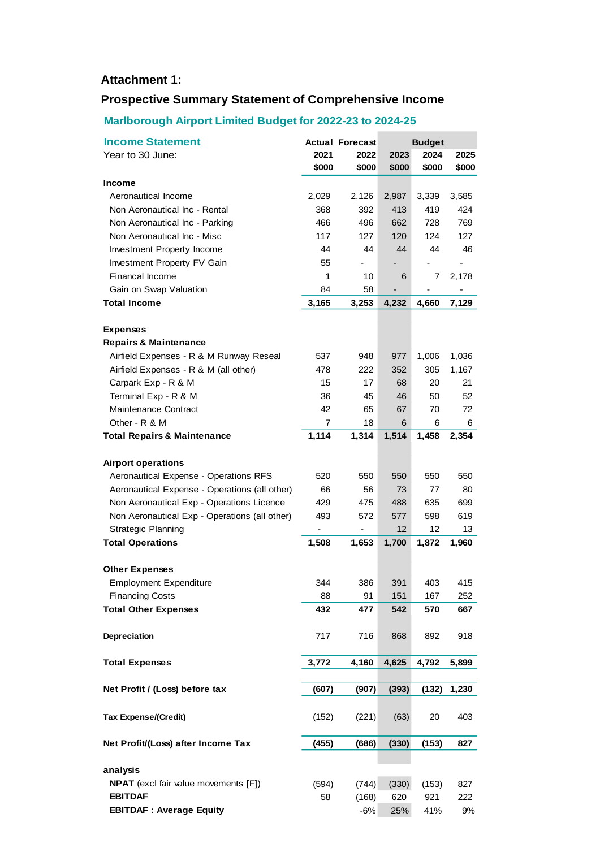## **Attachment 1:**

# **Prospective Summary Statement of Comprehensive Income**

## **Marlborough Airport Limited Budget for 2022-23 to 2024-25**

| <b>Income Statement</b>                       |       | <b>Actual Forecast</b> | <b>Budget</b> |       |                |
|-----------------------------------------------|-------|------------------------|---------------|-------|----------------|
| Year to 30 June:                              | 2021  | 2022                   | 2023          | 2024  | 2025           |
|                                               | \$000 | \$000                  | \$000         | \$000 | \$000          |
| <b>Income</b>                                 |       |                        |               |       |                |
| Aeronautical Income                           | 2,029 | 2,126                  | 2,987         | 3,339 | 3,585          |
| Non Aeronautical Inc - Rental                 | 368   | 392                    | 413           | 419   | 424            |
| Non Aeronautical Inc - Parking                | 466   | 496                    | 662           | 728   | 769            |
| Non Aeronautical Inc - Misc                   | 117   | 127                    | 120           | 124   | 127            |
| Investment Property Income                    | 44    | 44                     | 44            | 44    | 46             |
| Investment Property FV Gain                   | 55    |                        |               |       | $\overline{a}$ |
| <b>Financal Income</b>                        | 1     | 10                     | 6             | 7     | 2,178          |
| Gain on Swap Valuation                        | 84    | 58                     |               |       |                |
| <b>Total Income</b>                           | 3,165 | 3,253                  | 4,232         | 4,660 | 7,129          |
|                                               |       |                        |               |       |                |
| <b>Expenses</b>                               |       |                        |               |       |                |
| <b>Repairs &amp; Maintenance</b>              |       |                        |               |       |                |
| Airfield Expenses - R & M Runway Reseal       | 537   | 948                    | 977           | 1,006 | 1,036          |
| Airfield Expenses - R & M (all other)         | 478   | 222                    | 352           | 305   | 1,167          |
| Carpark Exp - R & M                           | 15    | 17                     | 68            | 20    | 21             |
| Terminal Exp - R & M                          | 36    | 45                     | 46            | 50    | 52             |
| Maintenance Contract                          | 42    | 65                     | 67            | 70    | 72             |
| Other - R & M                                 | 7     | 18                     | 6             | 6     | 6              |
| <b>Total Repairs &amp; Maintenance</b>        | 1,114 | 1,314                  | 1,514         | 1,458 | 2,354          |
| <b>Airport operations</b>                     |       |                        |               |       |                |
| Aeronautical Expense - Operations RFS         | 520   | 550                    | 550           | 550   | 550            |
| Aeronautical Expense - Operations (all other) | 66    | 56                     | 73            | 77    | 80             |
| Non Aeronautical Exp - Operations Licence     | 429   | 475                    | 488           | 635   | 699            |
| Non Aeronautical Exp - Operations (all other) | 493   | 572                    | 577           | 598   | 619            |
| <b>Strategic Planning</b>                     | -     |                        | 12            | 12    | 13             |
| <b>Total Operations</b>                       | 1,508 | 1,653                  | 1,700         | 1,872 | 1,960          |
|                                               |       |                        |               |       |                |
| <b>Other Expenses</b>                         |       |                        |               |       |                |
| <b>Employment Expenditure</b>                 | 344   | 386                    | 391           | 403   | 415            |
| <b>Financing Costs</b>                        | 88    | 91                     | 151           | 167   | 252            |
| <b>Total Other Expenses</b>                   | 432   | 477                    | 542           | 570   | 667            |
| Depreciation                                  | 717   | 716                    | 868           | 892   | 918            |
| <b>Total Expenses</b>                         | 3,772 | 4,160                  | 4,625         | 4,792 | 5,899          |
|                                               |       |                        |               |       |                |
| Net Profit / (Loss) before tax                | (607) | (907)                  | (393)         | (132) | 1,230          |
| <b>Tax Expense/(Credit)</b>                   | (152) | (221)                  | (63)          | 20    | 403            |
| Net Profit/(Loss) after Income Tax            | (455) | (686)                  | (330)         | (153) | 827            |
|                                               |       |                        |               |       |                |
| analysis                                      |       |                        |               |       |                |
| <b>NPAT</b> (excl fair value movements [F])   | (594) | (744)                  | (330)         | (153) | 827            |
| <b>EBITDAF</b>                                | 58    | (168)                  | 620           | 921   | 222            |
| <b>EBITDAF: Average Equity</b>                |       | $-6%$                  | 25%           | 41%   | 9%             |